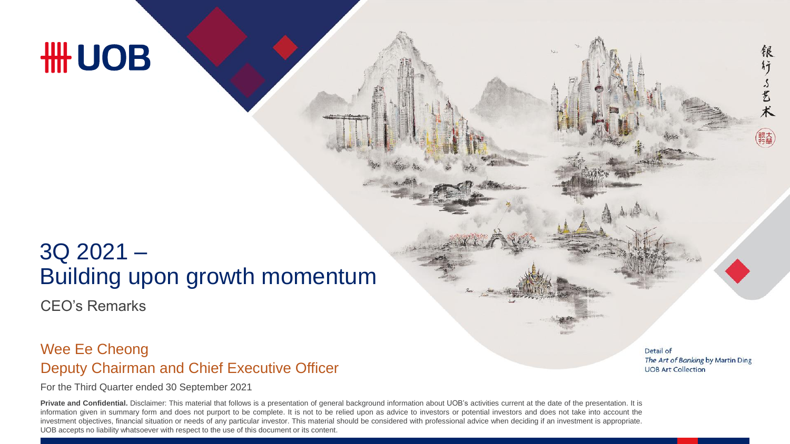# **HH UOB**

## 3Q 2021 – Building upon growth momentum

CEO's Remarks

#### Deputy Chairman and Chief Executive Officer Wee Ee Cheong

For the Third Quarter ended 30 September 2021

**Private and Confidential.** Disclaimer: This material that follows is a presentation of general background information about UOB's activities current at the date of the presentation. It is information given in summary form and does not purport to be complete. It is not to be relied upon as advice to investors or potential investors and does not take into account the investment objectives, financial situation or needs of any particular investor. This material should be considered with professional advice when deciding if an investment is appropriate. UOB accepts no liability whatsoever with respect to the use of this document or its content.

Detail of The Art of Banking by Martin Ding **UOB Art Collection** 

银

行了艺术

銀大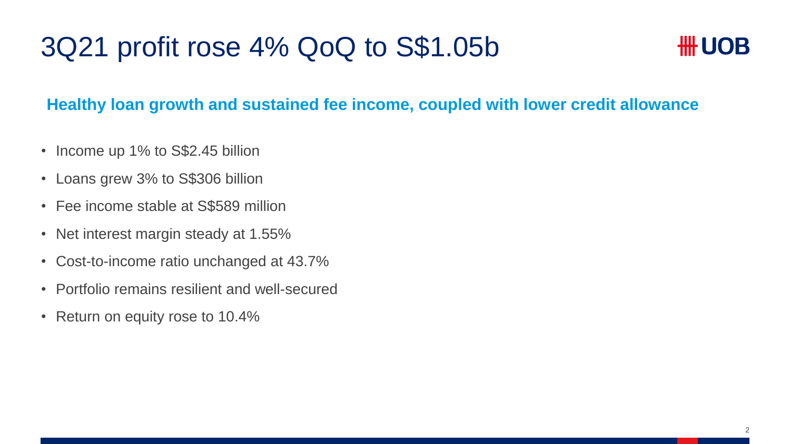# 3Q21 profit rose 4% QoQ to S\$1.05b



### **Healthy loan growth and sustained fee income, coupled with lower credit allowance**

- Income up 1% to S\$2.45 billion
- Loans grew 3% to S\$306 billion
- Fee income stable at S\$589 million
- Net interest margin steady at 1.55%
- Cost-to-income ratio unchanged at 43.7%
- Portfolio remains resilient and well-secured
- Return on equity rose to 10.4%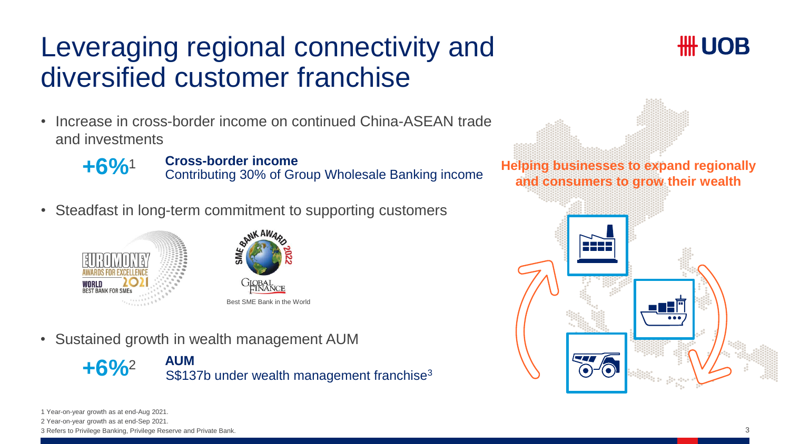# Leveraging regional connectivity and diversified customer franchise

• Increase in cross-border income on continued China-ASEAN trade and investments



**+6%**<sup>1</sup> Cross-border income<br>
Contributing 30% of Group Wholesale Banking income

• Steadfast in long-term commitment to supporting customers





• Sustained growth in wealth management AUM





**Helping businesses to expand regionally and consumers to grow their wealth**



3 Refers to Privilege Banking, Privilege Reserve and Private Bank.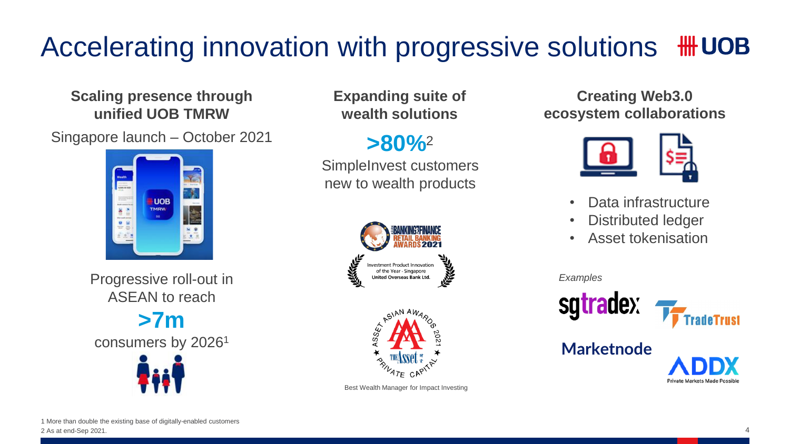#### Accelerating innovation with progressive solutions **III UOB**

**Scaling presence through unified UOB TMRW**

Singapore launch – October 2021



Progressive roll-out in ASEAN to reach

**>7m** consumers by 2026<sup>1</sup>



**Expanding suite of wealth solutions**

## **>80%**<sup>2</sup>

SimpleInvest customers new to wealth products





Best Wealth Manager for Impact Investing

**Creating Web3.0 ecosystem collaborations** 



- Data infrastructure
- Distributed ledger
- Asset tokenisation

*Examples*

sqtradex



**Marketnode**

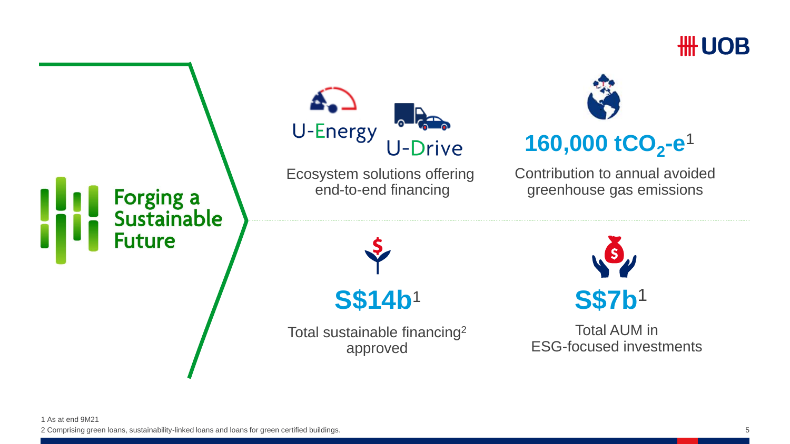

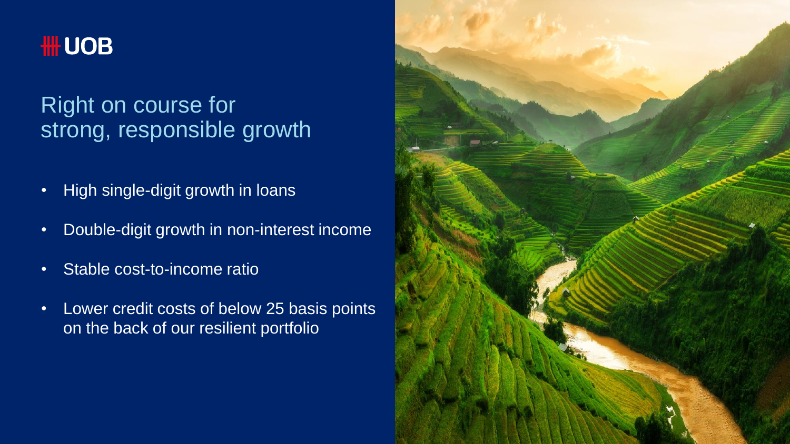

## Right on course for strong, responsible growth

- High single-digit growth in loans
- Double-digit growth in non-interest income
- Stable cost-to-income ratio
- Lower credit costs of below 25 basis points on the back of our resilient portfolio